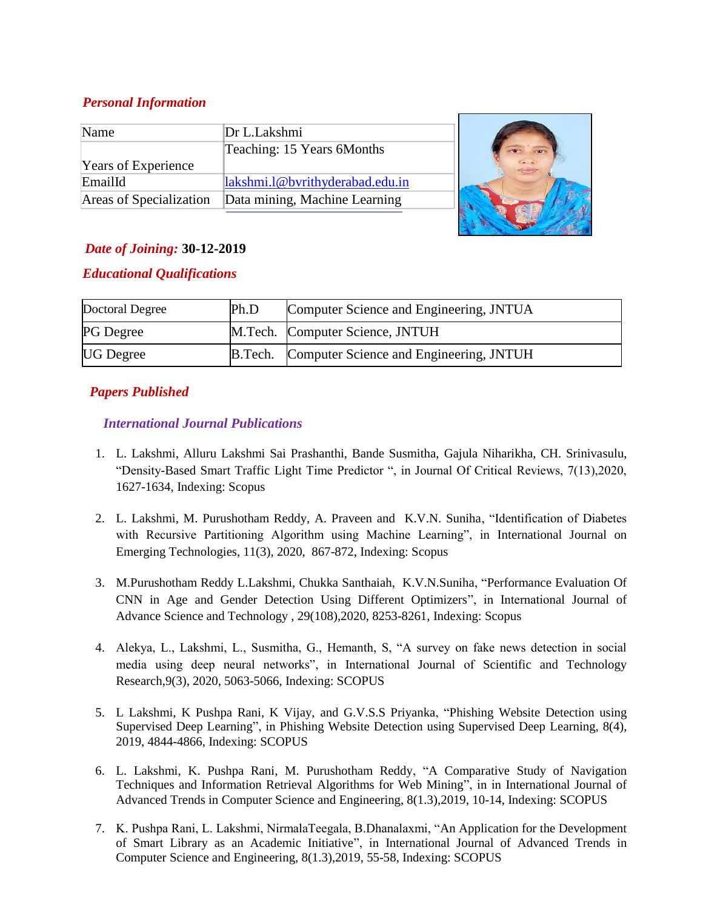# *Personal Information*

| Name                       | Dr L.Lakshmi                    |  |
|----------------------------|---------------------------------|--|
|                            | Teaching: 15 Years 6Months      |  |
| <b>Years of Experience</b> |                                 |  |
| EmailId                    | lakshmi.1@bvrithyderabad.edu.in |  |
| Areas of Specialization    | Data mining, Machine Learning   |  |
|                            |                                 |  |

# *Date of Joining:* **30-12-2019**

## *Educational Qualifications*

| Doctoral Degree  | Ph.D | Computer Science and Engineering, JNTUA          |
|------------------|------|--------------------------------------------------|
| <b>PG</b> Degree |      | M.Tech. Computer Science, JNTUH                  |
| <b>UG</b> Degree |      | B. Tech. Computer Science and Engineering, JNTUH |

**STATE OF BUILDING** 

# *Papers Published*

## *International Journal Publications*

- 1. L. Lakshmi, Alluru Lakshmi Sai Prashanthi, Bande Susmitha, Gajula Niharikha, CH. Srinivasulu, "Density-Based Smart Traffic Light Time Predictor ", in Journal Of Critical Reviews, 7(13),2020, 1627-1634, Indexing: Scopus
- 2. L. Lakshmi, M. Purushotham Reddy, A. Praveen and K.V.N. Suniha, "Identification of Diabetes with Recursive Partitioning Algorithm using Machine Learning", in International Journal on Emerging Technologies, 11(3), 2020, 867-872, Indexing: Scopus
- 3. M.Purushotham Reddy L.Lakshmi, Chukka Santhaiah, K.V.N.Suniha, "Performance Evaluation Of CNN in Age and Gender Detection Using Different Optimizers", in International Journal of Advance Science and Technology , 29(108),2020, 8253-8261, Indexing: Scopus
- 4. Alekya, L., Lakshmi, L., Susmitha, G., Hemanth, S, "A survey on fake news detection in social media using deep neural networks", in International Journal of Scientific and Technology Research,9(3), 2020, 5063-5066, Indexing: SCOPUS
- 5. L Lakshmi, K Pushpa Rani, K Vijay, and G.V.S.S Priyanka, "Phishing Website Detection using Supervised Deep Learning", in Phishing Website Detection using Supervised Deep Learning, 8(4), 2019, 4844-4866, Indexing: SCOPUS
- 6. L. Lakshmi, K. Pushpa Rani, M. Purushotham Reddy, "A Comparative Study of Navigation Techniques and Information Retrieval Algorithms for Web Mining", in in International Journal of Advanced Trends in Computer Science and Engineering, 8(1.3),2019, 10-14, Indexing: SCOPUS
- 7. K. Pushpa Rani, L. Lakshmi, NirmalaTeegala, B.Dhanalaxmi, "An Application for the Development of Smart Library as an Academic Initiative", in International Journal of Advanced Trends in Computer Science and Engineering, 8(1.3),2019, 55-58, Indexing: SCOPUS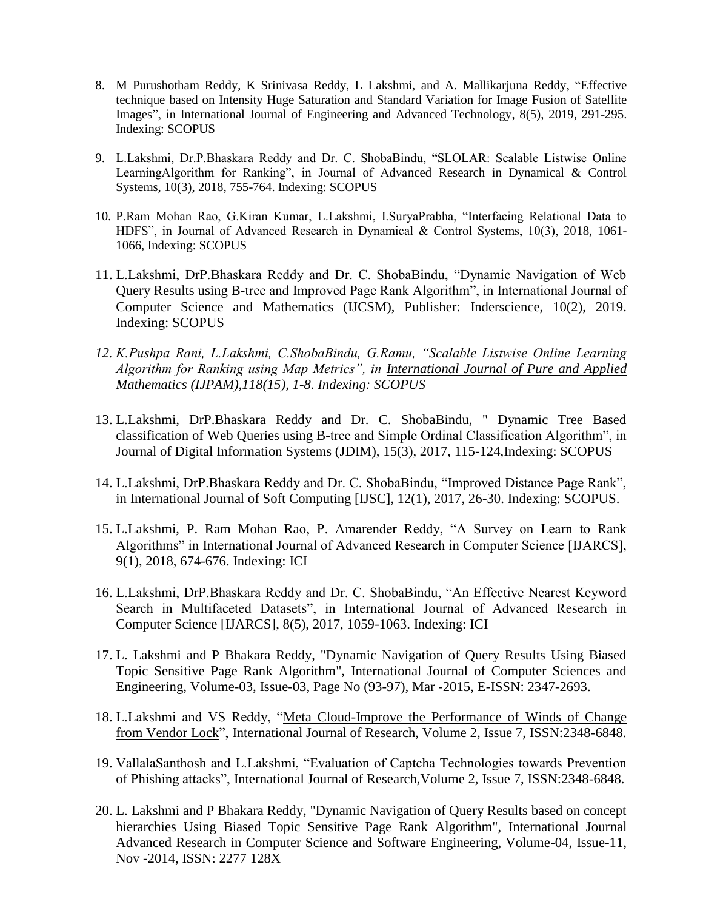- 8. M Purushotham Reddy, K Srinivasa Reddy, L Lakshmi, and A. Mallikarjuna Reddy, "Effective technique based on Intensity Huge Saturation and Standard Variation for Image Fusion of Satellite Images", in International Journal of Engineering and Advanced Technology, 8(5), 2019, 291-295. Indexing: SCOPUS
- 9. L.Lakshmi, Dr.P.Bhaskara Reddy and Dr. C. ShobaBindu, "SLOLAR: Scalable Listwise Online LearningAlgorithm for Ranking", in Journal of Advanced Research in Dynamical & Control Systems, 10(3), 2018, 755-764. Indexing: SCOPUS
- 10. P.Ram Mohan Rao, G.Kiran Kumar, L.Lakshmi, I.SuryaPrabha, "Interfacing Relational Data to HDFS", in Journal of Advanced Research in Dynamical & Control Systems, 10(3), 2018, 1061- 1066, Indexing: SCOPUS
- 11. L.Lakshmi, DrP.Bhaskara Reddy and Dr. C. ShobaBindu, "Dynamic Navigation of Web Query Results using B-tree and Improved Page Rank Algorithm", in International Journal of Computer Science and Mathematics (IJCSM), Publisher: Inderscience, 10(2), 2019. Indexing: SCOPUS
- *12. K.Pushpa Rani, L.Lakshmi, C.ShobaBindu, G.Ramu, "Scalable Listwise Online Learning Algorithm for Ranking using Map Metrics", in [International Journal of Pure and Applied](http://www.ijpam.eu/index.html)  [Mathematics](http://www.ijpam.eu/index.html) (IJPAM),118(15), 1-8. Indexing: SCOPUS*
- 13. L.Lakshmi, DrP.Bhaskara Reddy and Dr. C. ShobaBindu, " Dynamic Tree Based classification of Web Queries using B-tree and Simple Ordinal Classification Algorithm", in Journal of Digital Information Systems (JDIM), 15(3), 2017, 115-124,Indexing: SCOPUS
- 14. L.Lakshmi, DrP.Bhaskara Reddy and Dr. C. ShobaBindu, "Improved Distance Page Rank", in International Journal of Soft Computing [IJSC], 12(1), 2017, 26-30. Indexing: SCOPUS.
- 15. L.Lakshmi, P. Ram Mohan Rao, P. Amarender Reddy, "A Survey on Learn to Rank Algorithms" in International Journal of Advanced Research in Computer Science [IJARCS], 9(1), 2018, 674-676. Indexing: ICI
- 16. L.Lakshmi, DrP.Bhaskara Reddy and Dr. C. ShobaBindu, "An Effective Nearest Keyword Search in Multifaceted Datasets", in International Journal of Advanced Research in Computer Science [IJARCS], 8(5), 2017, 1059-1063. Indexing: ICI
- 17. L. Lakshmi and P Bhakara Reddy, "Dynamic Navigation of Query Results Using Biased Topic Sensitive Page Rank Algorithm", International Journal of Computer Sciences and Engineering, Volume-03, Issue-03, Page No (93-97), Mar -2015, E-ISSN: 2347-2693.
- 18. L.Lakshmi and VS Reddy, ["Meta Cloud-Improve the Performance of Winds of Change](http://scholar.google.com/scholar?cluster=15388489870210904139&hl=en&oi=scholarr)  [from Vendor Lock"](http://scholar.google.com/scholar?cluster=15388489870210904139&hl=en&oi=scholarr), International Journal of Research, Volume 2, Issue 7, ISSN:2348-6848.
- 19. VallalaSanthosh and L.Lakshmi, "Evaluation of Captcha Technologies towards Prevention of Phishing attacks", International Journal of Research,Volume 2, Issue 7, ISSN:2348-6848.
- 20. L. Lakshmi and P Bhakara Reddy, "Dynamic Navigation of Query Results based on concept hierarchies Using Biased Topic Sensitive Page Rank Algorithm", International Journal Advanced Research in Computer Science and Software Engineering, Volume-04, Issue-11, Nov -2014, ISSN: 2277 128X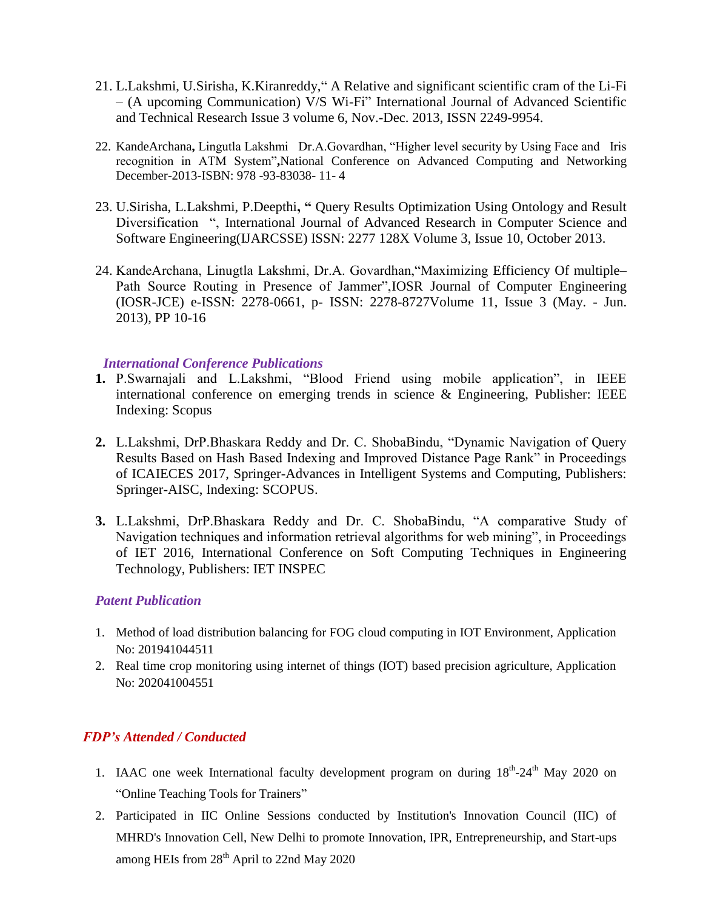- 21. L.Lakshmi, U.Sirisha, K.Kiranreddy," A Relative and significant scientific cram of the Li-Fi – (A upcoming Communication) V/S Wi-Fi" International Journal of Advanced Scientific and Technical Research Issue 3 volume 6, Nov.-Dec. 2013, ISSN 2249-9954.
- 22. KandeArchana**,** Lingutla Lakshmi Dr.A.Govardhan, "Higher level security by Using Face and Iris recognition in ATM System"**,**National Conference on Advanced Computing and Networking December-2013-ISBN: 978 -93-83038- 11- 4
- 23. U.Sirisha, L.Lakshmi, P.Deepthi**, "** Query Results Optimization Using Ontology and Result Diversification ", International Journal of Advanced Research in Computer Science and Software Engineering(IJARCSSE) ISSN: 2277 128X Volume 3, Issue 10, October 2013.
- 24. KandeArchana, Linugtla Lakshmi, Dr.A. Govardhan,"Maximizing Efficiency Of multiple– Path Source Routing in Presence of Jammer",IOSR Journal of Computer Engineering (IOSR-JCE) e-ISSN: 2278-0661, p- ISSN: 2278-8727Volume 11, Issue 3 (May. - Jun. 2013), PP 10-16

#### *International Conference Publications*

- **1.** P.Swarnajali and L.Lakshmi, "Blood Friend using mobile application", in IEEE international conference on emerging trends in science & Engineering, Publisher: IEEE Indexing: Scopus
- **2.** L.Lakshmi, DrP.Bhaskara Reddy and Dr. C. ShobaBindu, "Dynamic Navigation of Query Results Based on Hash Based Indexing and Improved Distance Page Rank" in Proceedings of ICAIECES 2017, Springer-Advances in Intelligent Systems and Computing, Publishers: Springer-AISC, Indexing: SCOPUS.
- **3.** L.Lakshmi, DrP.Bhaskara Reddy and Dr. C. ShobaBindu, "A comparative Study of Navigation techniques and information retrieval algorithms for web mining", in Proceedings of IET 2016, International Conference on Soft Computing Techniques in Engineering Technology, Publishers: IET INSPEC

#### *Patent Publication*

- 1. Method of load distribution balancing for FOG cloud computing in IOT Environment, Application No: 201941044511
- 2. Real time crop monitoring using internet of things (IOT) based precision agriculture, Application No: 202041004551

#### *FDP's Attended / Conducted*

- 1. IAAC one week International faculty development program on during  $18<sup>th</sup>$ -24<sup>th</sup> May 2020 on "Online Teaching Tools for Trainers"
- 2. Participated in IIC Online Sessions conducted by Institution's Innovation Council (IIC) of MHRD's Innovation Cell, New Delhi to promote Innovation, IPR, Entrepreneurship, and Start-ups among HEIs from  $28<sup>th</sup>$  April to 22nd May 2020